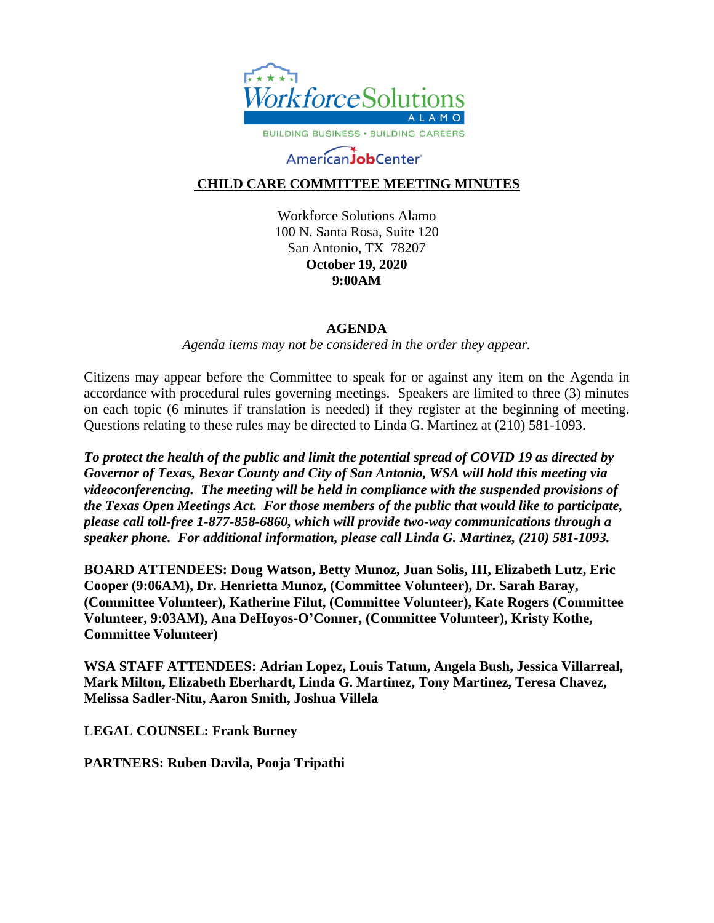

# AmericanJobCenter

## **CHILD CARE COMMITTEE MEETING MINUTES**

Workforce Solutions Alamo 100 N. Santa Rosa, Suite 120 San Antonio, TX 78207 **October 19, 2020 9:00AM**

#### **AGENDA**

*Agenda items may not be considered in the order they appear.*

Citizens may appear before the Committee to speak for or against any item on the Agenda in accordance with procedural rules governing meetings. Speakers are limited to three (3) minutes on each topic (6 minutes if translation is needed) if they register at the beginning of meeting. Questions relating to these rules may be directed to Linda G. Martinez at (210) 581-1093.

*To protect the health of the public and limit the potential spread of COVID 19 as directed by Governor of Texas, Bexar County and City of San Antonio, WSA will hold this meeting via videoconferencing. The meeting will be held in compliance with the suspended provisions of the Texas Open Meetings Act. For those members of the public that would like to participate, please call toll-free 1-877-858-6860, which will provide two-way communications through a speaker phone. For additional information, please call Linda G. Martinez, (210) 581-1093.* 

**BOARD ATTENDEES: Doug Watson, Betty Munoz, Juan Solis, III, Elizabeth Lutz, Eric Cooper (9:06AM), Dr. Henrietta Munoz, (Committee Volunteer), Dr. Sarah Baray, (Committee Volunteer), Katherine Filut, (Committee Volunteer), Kate Rogers (Committee Volunteer, 9:03AM), Ana DeHoyos-O'Conner, (Committee Volunteer), Kristy Kothe, Committee Volunteer)**

**WSA STAFF ATTENDEES: Adrian Lopez, Louis Tatum, Angela Bush, Jessica Villarreal, Mark Milton, Elizabeth Eberhardt, Linda G. Martinez, Tony Martinez, Teresa Chavez, Melissa Sadler-Nitu, Aaron Smith, Joshua Villela**

**LEGAL COUNSEL: Frank Burney**

**PARTNERS: Ruben Davila, Pooja Tripathi**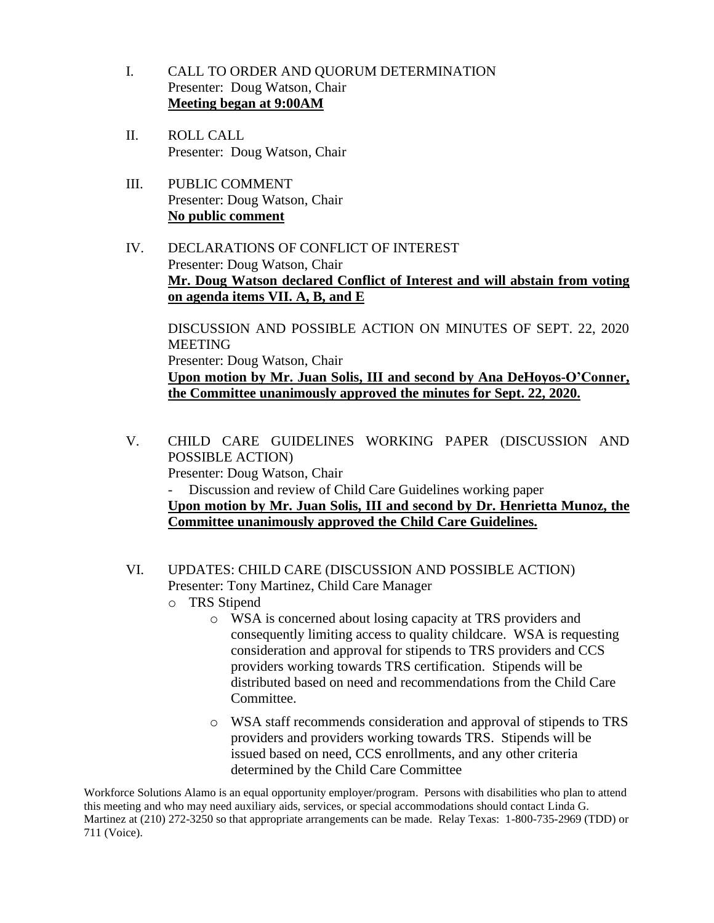- I. CALL TO ORDER AND QUORUM DETERMINATION Presenter: Doug Watson, Chair **Meeting began at 9:00AM**
- II. ROLL CALL Presenter: Doug Watson, Chair
- III. PUBLIC COMMENT Presenter: Doug Watson, Chair **No public comment**
- IV. DECLARATIONS OF CONFLICT OF INTEREST Presenter: Doug Watson, Chair **Mr. Doug Watson declared Conflict of Interest and will abstain from voting on agenda items VII. A, B, and E**

DISCUSSION AND POSSIBLE ACTION ON MINUTES OF SEPT. 22, 2020 MEETING Presenter: Doug Watson, Chair **Upon motion by Mr. Juan Solis, III and second by Ana DeHoyos-O'Conner, the Committee unanimously approved the minutes for Sept. 22, 2020.**

- V. CHILD CARE GUIDELINES WORKING PAPER (DISCUSSION AND POSSIBLE ACTION) Presenter: Doug Watson, Chair - Discussion and review of Child Care Guidelines working paper **Upon motion by Mr. Juan Solis, III and second by Dr. Henrietta Munoz, the Committee unanimously approved the Child Care Guidelines.**
- VI. UPDATES: CHILD CARE (DISCUSSION AND POSSIBLE ACTION) Presenter: Tony Martinez, Child Care Manager
	- o TRS Stipend
		- o WSA is concerned about losing capacity at TRS providers and consequently limiting access to quality childcare. WSA is requesting consideration and approval for stipends to TRS providers and CCS providers working towards TRS certification. Stipends will be distributed based on need and recommendations from the Child Care Committee.
		- o WSA staff recommends consideration and approval of stipends to TRS providers and providers working towards TRS. Stipends will be issued based on need, CCS enrollments, and any other criteria determined by the Child Care Committee

Workforce Solutions Alamo is an equal opportunity employer/program. Persons with disabilities who plan to attend this meeting and who may need auxiliary aids, services, or special accommodations should contact Linda G. Martinez at (210) 272-3250 so that appropriate arrangements can be made. Relay Texas: 1-800-735-2969 (TDD) or 711 (Voice).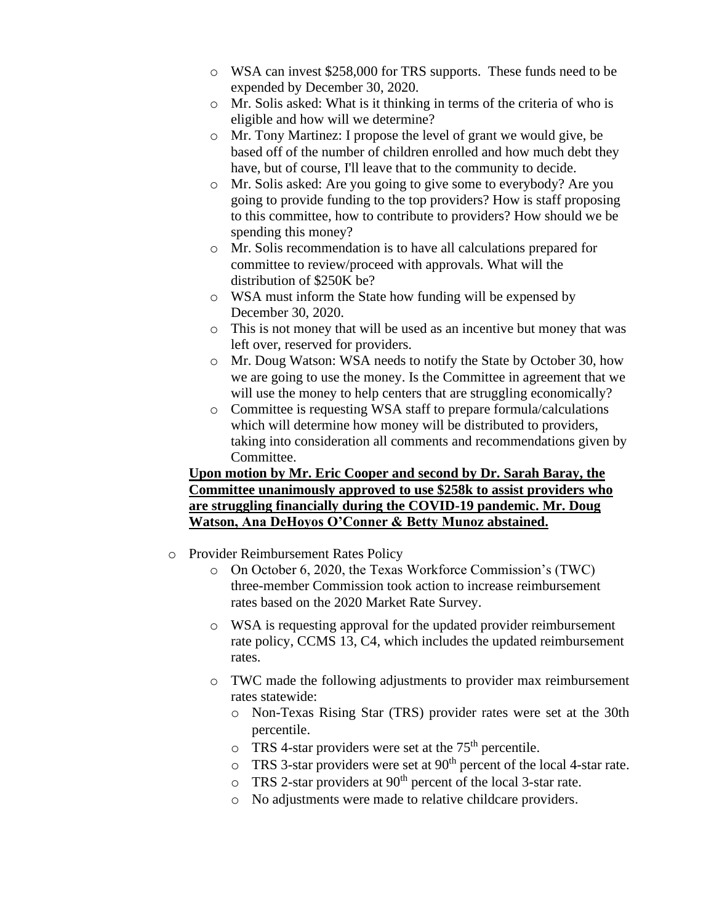- o WSA can invest \$258,000 for TRS supports. These funds need to be expended by December 30, 2020.
- o Mr. Solis asked: What is it thinking in terms of the criteria of who is eligible and how will we determine?
- o Mr. Tony Martinez: I propose the level of grant we would give, be based off of the number of children enrolled and how much debt they have, but of course, I'll leave that to the community to decide.
- o Mr. Solis asked: Are you going to give some to everybody? Are you going to provide funding to the top providers? How is staff proposing to this committee, how to contribute to providers? How should we be spending this money?
- o Mr. Solis recommendation is to have all calculations prepared for committee to review/proceed with approvals. What will the distribution of \$250K be?
- o WSA must inform the State how funding will be expensed by December 30, 2020.
- o This is not money that will be used as an incentive but money that was left over, reserved for providers.
- o Mr. Doug Watson: WSA needs to notify the State by October 30, how we are going to use the money. Is the Committee in agreement that we will use the money to help centers that are struggling economically?
- o Committee is requesting WSA staff to prepare formula/calculations which will determine how money will be distributed to providers, taking into consideration all comments and recommendations given by Committee.

### **Upon motion by Mr. Eric Cooper and second by Dr. Sarah Baray, the Committee unanimously approved to use \$258k to assist providers who are struggling financially during the COVID-19 pandemic. Mr. Doug Watson, Ana DeHoyos O'Conner & Betty Munoz abstained.**

- o Provider Reimbursement Rates Policy
	- o On October 6, 2020, the Texas Workforce Commission's (TWC) three-member Commission took action to increase reimbursement rates based on the 2020 Market Rate Survey.
	- o WSA is requesting approval for the updated provider reimbursement rate policy, CCMS 13, C4, which includes the updated reimbursement rates.
	- o TWC made the following adjustments to provider max reimbursement rates statewide:
		- o Non-Texas Rising Star (TRS) provider rates were set at the 30th percentile.
		- $\overline{C}$  TRS 4-star providers were set at the 75<sup>th</sup> percentile.
		- $\circ$  TRS 3-star providers were set at 90<sup>th</sup> percent of the local 4-star rate.
		- $\circ$  TRS 2-star providers at 90<sup>th</sup> percent of the local 3-star rate.
		- o No adjustments were made to relative childcare providers.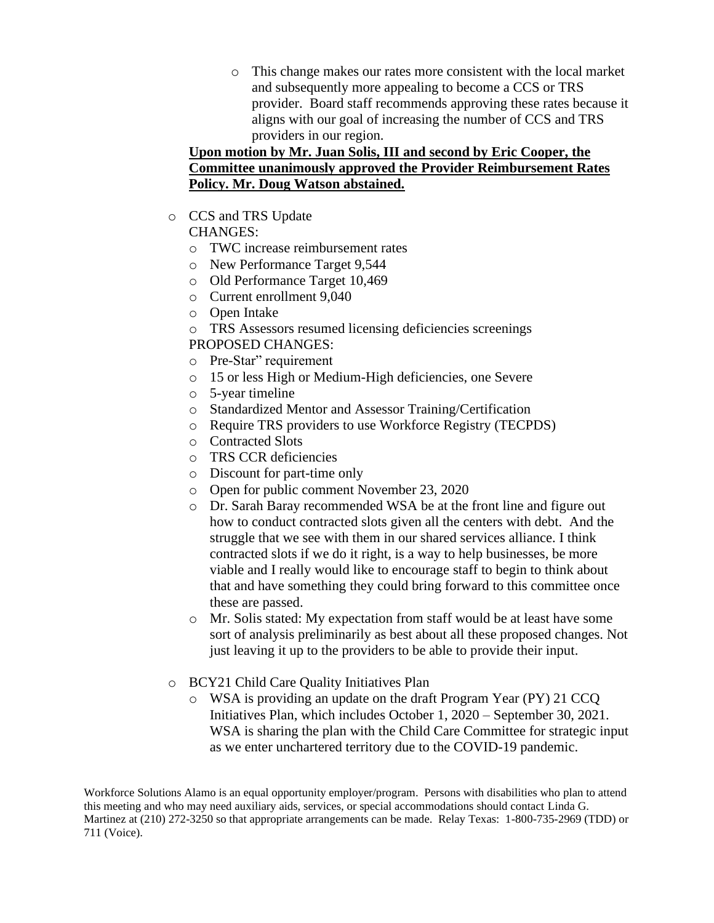o This change makes our rates more consistent with the local market and subsequently more appealing to become a CCS or TRS provider. Board staff recommends approving these rates because it aligns with our goal of increasing the number of CCS and TRS providers in our region.

## **Upon motion by Mr. Juan Solis, III and second by Eric Cooper, the Committee unanimously approved the Provider Reimbursement Rates Policy. Mr. Doug Watson abstained.**

- o CCS and TRS Update
	- CHANGES:
	- o TWC increase reimbursement rates
	- o New Performance Target 9,544
	- o Old Performance Target 10,469
	- o Current enrollment 9,040
	- o Open Intake
	- o TRS Assessors resumed licensing deficiencies screenings

PROPOSED CHANGES:

- o Pre-Star" requirement
- o 15 or less High or Medium-High deficiencies, one Severe
- o 5-year timeline
- o Standardized Mentor and Assessor Training/Certification
- o Require TRS providers to use Workforce Registry (TECPDS)
- o Contracted Slots
- o TRS CCR deficiencies
- o Discount for part-time only
- o Open for public comment November 23, 2020
- o Dr. Sarah Baray recommended WSA be at the front line and figure out how to conduct contracted slots given all the centers with debt. And the struggle that we see with them in our shared services alliance. I think contracted slots if we do it right, is a way to help businesses, be more viable and I really would like to encourage staff to begin to think about that and have something they could bring forward to this committee once these are passed.
- o Mr. Solis stated: My expectation from staff would be at least have some sort of analysis preliminarily as best about all these proposed changes. Not just leaving it up to the providers to be able to provide their input.
- o BCY21 Child Care Quality Initiatives Plan
	- o WSA is providing an update on the draft Program Year (PY) 21 CCQ Initiatives Plan, which includes October 1, 2020 – September 30, 2021. WSA is sharing the plan with the Child Care Committee for strategic input as we enter unchartered territory due to the COVID-19 pandemic.

Workforce Solutions Alamo is an equal opportunity employer/program. Persons with disabilities who plan to attend this meeting and who may need auxiliary aids, services, or special accommodations should contact Linda G. Martinez at (210) 272-3250 so that appropriate arrangements can be made. Relay Texas: 1-800-735-2969 (TDD) or 711 (Voice).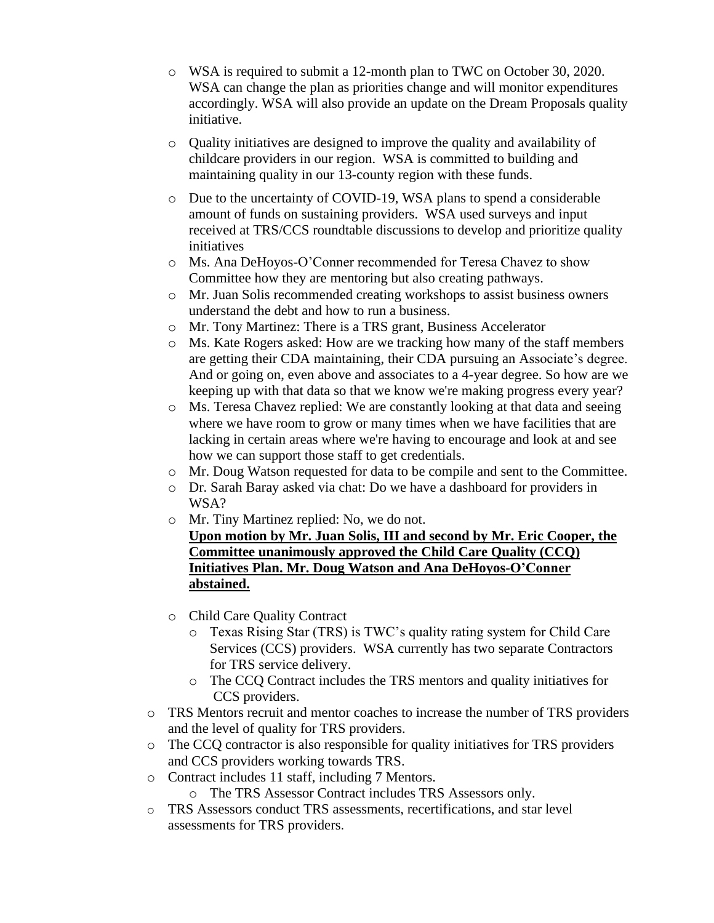- o WSA is required to submit a 12-month plan to TWC on October 30, 2020. WSA can change the plan as priorities change and will monitor expenditures accordingly. WSA will also provide an update on the Dream Proposals quality initiative.
- o Quality initiatives are designed to improve the quality and availability of childcare providers in our region. WSA is committed to building and maintaining quality in our 13-county region with these funds.
- o Due to the uncertainty of COVID-19, WSA plans to spend a considerable amount of funds on sustaining providers. WSA used surveys and input received at TRS/CCS roundtable discussions to develop and prioritize quality initiatives
- o Ms. Ana DeHoyos-O'Conner recommended for Teresa Chavez to show Committee how they are mentoring but also creating pathways.
- o Mr. Juan Solis recommended creating workshops to assist business owners understand the debt and how to run a business.
- o Mr. Tony Martinez: There is a TRS grant, Business Accelerator
- o Ms. Kate Rogers asked: How are we tracking how many of the staff members are getting their CDA maintaining, their CDA pursuing an Associate's degree. And or going on, even above and associates to a 4-year degree. So how are we keeping up with that data so that we know we're making progress every year?
- o Ms. Teresa Chavez replied: We are constantly looking at that data and seeing where we have room to grow or many times when we have facilities that are lacking in certain areas where we're having to encourage and look at and see how we can support those staff to get credentials.
- o Mr. Doug Watson requested for data to be compile and sent to the Committee.
- o Dr. Sarah Baray asked via chat: Do we have a dashboard for providers in WSA?
- o Mr. Tiny Martinez replied: No, we do not.

**Upon motion by Mr. Juan Solis, III and second by Mr. Eric Cooper, the Committee unanimously approved the Child Care Quality (CCQ) Initiatives Plan. Mr. Doug Watson and Ana DeHoyos-O'Conner abstained.** 

- o Child Care Quality Contract
	- o Texas Rising Star (TRS) is TWC's quality rating system for Child Care Services (CCS) providers. WSA currently has two separate Contractors for TRS service delivery.
	- o The CCQ Contract includes the TRS mentors and quality initiatives for CCS providers.
- o TRS Mentors recruit and mentor coaches to increase the number of TRS providers and the level of quality for TRS providers.
- o The CCQ contractor is also responsible for quality initiatives for TRS providers and CCS providers working towards TRS.
- o Contract includes 11 staff, including 7 Mentors.
	- o The TRS Assessor Contract includes TRS Assessors only.
- o TRS Assessors conduct TRS assessments, recertifications, and star level assessments for TRS providers.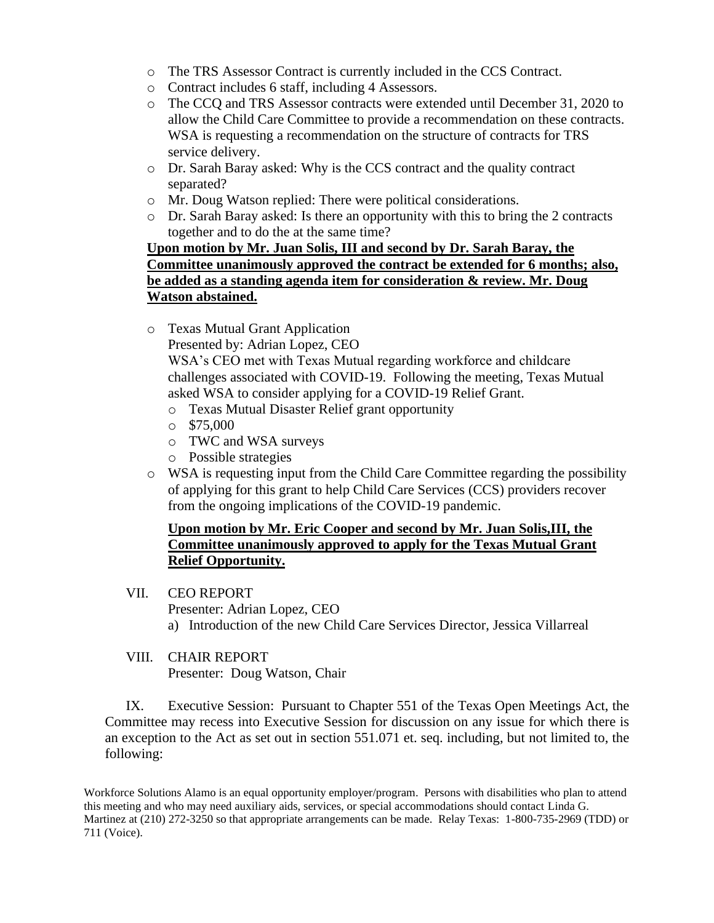- o The TRS Assessor Contract is currently included in the CCS Contract.
- o Contract includes 6 staff, including 4 Assessors.
- o The CCQ and TRS Assessor contracts were extended until December 31, 2020 to allow the Child Care Committee to provide a recommendation on these contracts. WSA is requesting a recommendation on the structure of contracts for TRS service delivery.
- o Dr. Sarah Baray asked: Why is the CCS contract and the quality contract separated?
- o Mr. Doug Watson replied: There were political considerations.
- o Dr. Sarah Baray asked: Is there an opportunity with this to bring the 2 contracts together and to do the at the same time?

## **Upon motion by Mr. Juan Solis, III and second by Dr. Sarah Baray, the Committee unanimously approved the contract be extended for 6 months; also, be added as a standing agenda item for consideration & review. Mr. Doug Watson abstained.**

o Texas Mutual Grant Application

Presented by: Adrian Lopez, CEO

WSA's CEO met with Texas Mutual regarding workforce and childcare challenges associated with COVID-19. Following the meeting, Texas Mutual asked WSA to consider applying for a COVID-19 Relief Grant.

- o Texas Mutual Disaster Relief grant opportunity
- $\circ$  \$75,000
- o TWC and WSA surveys
- o Possible strategies
- o WSA is requesting input from the Child Care Committee regarding the possibility of applying for this grant to help Child Care Services (CCS) providers recover from the ongoing implications of the COVID-19 pandemic.

## **Upon motion by Mr. Eric Cooper and second by Mr. Juan Solis,III, the Committee unanimously approved to apply for the Texas Mutual Grant Relief Opportunity.**

- VII. CEO REPORT
	- Presenter: Adrian Lopez, CEO
	- a) Introduction of the new Child Care Services Director, Jessica Villarreal
- VIII. CHAIR REPORT

Presenter: Doug Watson, Chair

IX. Executive Session: Pursuant to Chapter 551 of the Texas Open Meetings Act, the Committee may recess into Executive Session for discussion on any issue for which there is an exception to the Act as set out in section 551.071 et. seq. including, but not limited to, the following:

Workforce Solutions Alamo is an equal opportunity employer/program. Persons with disabilities who plan to attend this meeting and who may need auxiliary aids, services, or special accommodations should contact Linda G. Martinez at (210) 272-3250 so that appropriate arrangements can be made. Relay Texas: 1-800-735-2969 (TDD) or 711 (Voice).